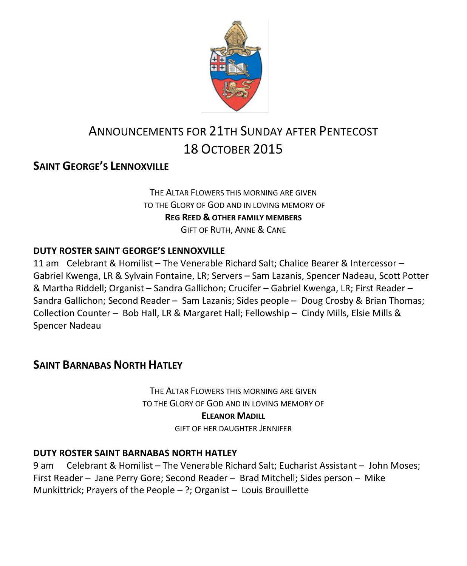

# ANNOUNCEMENTS FOR 21TH SUNDAY AFTER PENTECOST 18 OCTOBER 2015

### **SAINT GEORGE'S LENNOXVILLE**

THE ALTAR FLOWERS THIS MORNING ARE GIVEN TO THE GLORY OF GOD AND IN LOVING MEMORY OF **REG REED & OTHER FAMILY MEMBERS** GIFT OF RUTH, ANNE & CANE

#### **DUTY ROSTER SAINT GEORGE'S LENNOXVILLE**

11 am Celebrant & Homilist – The Venerable Richard Salt; Chalice Bearer & Intercessor – Gabriel Kwenga, LR & Sylvain Fontaine, LR; Servers – Sam Lazanis, Spencer Nadeau, Scott Potter & Martha Riddell; Organist – Sandra Gallichon; Crucifer – Gabriel Kwenga, LR; First Reader – Sandra Gallichon; Second Reader – Sam Lazanis; Sides people – Doug Crosby & Brian Thomas; Collection Counter – Bob Hall, LR & Margaret Hall; Fellowship – Cindy Mills, Elsie Mills & Spencer Nadeau

### **SAINT BARNABAS NORTH HATLEY**

THE ALTAR FLOWERS THIS MORNING ARE GIVEN TO THE GLORY OF GOD AND IN LOVING MEMORY OF **ELEANOR MADILL**

GIFT OF HER DAUGHTER JENNIFER

#### **DUTY ROSTER SAINT BARNABAS NORTH HATLEY**

9 am Celebrant & Homilist – The Venerable Richard Salt; Eucharist Assistant – John Moses; First Reader – Jane Perry Gore; Second Reader – Brad Mitchell; Sides person – Mike Munkittrick; Prayers of the People – ?; Organist – Louis Brouillette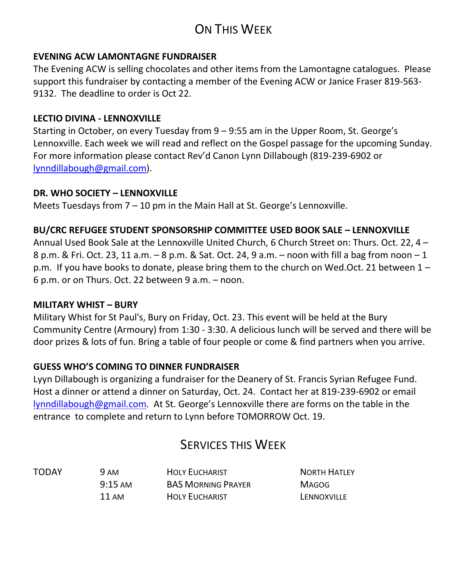## ON THIS WEEK

#### **EVENING ACW LAMONTAGNE FUNDRAISER**

The Evening ACW is selling chocolates and other items from the Lamontagne catalogues. Please support this fundraiser by contacting a member of the Evening ACW or Janice Fraser 819-563- 9132. The deadline to order is Oct 22.

#### **LECTIO DIVINA - LENNOXVILLE**

Starting in October, on every Tuesday from 9 – 9:55 am in the Upper Room, St. George's Lennoxville. Each week we will read and reflect on the Gospel passage for the upcoming Sunday. For more information please contact Rev'd Canon Lynn Dillabough (819-239-6902 or [lynndillabough@gmail.com\)](mailto:lynndillabough@gmail.com).

#### **DR. WHO SOCIETY – LENNOXVILLE**

Meets Tuesdays from 7 – 10 pm in the Main Hall at St. George's Lennoxville.

#### **BU/CRC REFUGEE STUDENT SPONSORSHIP COMMITTEE USED BOOK SALE – LENNOXVILLE**

Annual Used Book Sale at the Lennoxville United Church, 6 Church Street on: Thurs. Oct. 22, 4 – 8 p.m. & Fri. Oct. 23, 11 a.m. – 8 p.m. & Sat. Oct. 24, 9 a.m. – noon with fill a bag from noon – 1 p.m. If you have books to donate, please bring them to the church on Wed.Oct. 21 between 1 – 6 p.m. or on Thurs. Oct. 22 between 9 a.m. – noon.

#### **MILITARY WHIST – BURY**

Military Whist for St Paul's, Bury on Friday, Oct. 23. This event will be held at the Bury Community Centre (Armoury) from 1:30 - 3:30. A delicious lunch will be served and there will be door prizes & lots of fun. Bring a table of four people or come & find partners when you arrive.

#### **GUESS WHO'S COMING TO DINNER FUNDRAISER**

Lyyn Dillabough is organizing a fundraiser for the Deanery of St. Francis Syrian Refugee Fund. Host a dinner or attend a dinner on Saturday, Oct. 24. Contact her at 819-239-6902 or email [lynndillabough@gmail.com](mailto:lynndillabough@gmail.com). At St. George's Lennoxville there are forms on the table in the entrance to complete and return to Lynn before TOMORROW Oct. 19.

## SERVICES THIS WEEK

TODAY 9 AM HOLY EUCHARIST NORTH HATLEY 9:15 AM BAS MORNING PRAYER MAGOG 11 AM **HOLY EUCHARIST LENNOXVILLE**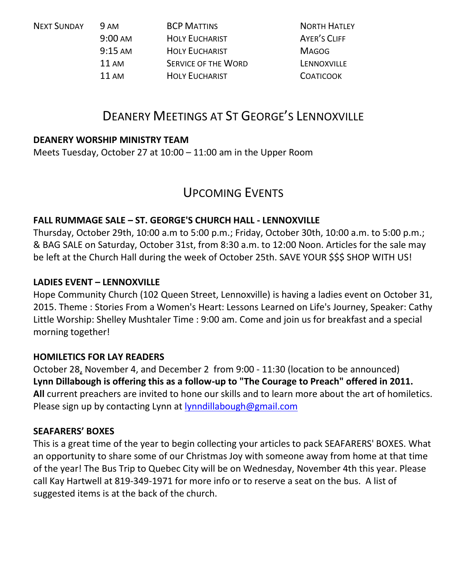| <b>NEXT SUNDAY</b><br><b>9 AM</b><br>$9:00 \text{ AM}$ | <b>BCP MATTINS</b>         | <b>NORTH HATLEY</b> |
|--------------------------------------------------------|----------------------------|---------------------|
|                                                        | <b>HOLY EUCHARIST</b>      | AYER'S CLIFF        |
| $9:15 \text{ AM}$                                      | <b>HOLY EUCHARIST</b>      | <b>MAGOG</b>        |
| <b>11 AM</b>                                           | <b>SERVICE OF THE WORD</b> | LENNOXVILLE         |
| <b>11 AM</b>                                           | <b>HOLY EUCHARIST</b>      | <b>COATICOOK</b>    |
|                                                        |                            |                     |

## DEANERY MEETINGS AT ST GEORGE'S LENNOXVILLE

#### **DEANERY WORSHIP MINISTRY TEAM**

Meets Tuesday, October 27 at 10:00 – 11:00 am in the Upper Room

### UPCOMING EVENTS

#### **FALL RUMMAGE SALE – ST. GEORGE'S CHURCH HALL - LENNOXVILLE**

Thursday, October 29th, 10:00 a.m to 5:00 p.m.; Friday, October 30th, 10:00 a.m. to 5:00 p.m.; & BAG SALE on Saturday, October 31st, from 8:30 a.m. to 12:00 Noon. Articles for the sale may be left at the Church Hall during the week of October 25th. SAVE YOUR \$\$\$ SHOP WITH US!

#### **LADIES EVENT – LENNOXVILLE**

Hope Community Church (102 Queen Street, Lennoxville) is having a ladies event on October 31, 2015. Theme : Stories From a Women's Heart: Lessons Learned on Life's Journey, Speaker: Cathy Little Worship: Shelley Mushtaler Time : 9:00 am. Come and join us for breakfast and a special morning together!

#### **HOMILETICS FOR LAY READERS**

October 28, November 4, and December 2 from 9:00 - 11:30 (location to be announced) **Lynn Dillabough is offering this as a follow-up to "The Courage to Preach" offered in 2011. All** current preachers are invited to hone our skills and to learn more about the art of homiletics. Please sign up by contacting Lynn at [lynndillabough@gmail.com](https://webmail.ubishops.ca/owa/redir.aspx?SURL=nksXqGp85F_Dom4r3JsslLbkidVbmkiX7It9Wrxex6QiuuBWxdTSCG0AYQBpAGwAdABvADoAbAB5AG4AbgBkAGkAbABsAGEAYgBvAHUAZwBoAEAAZwBtAGEAaQBsAC4AYwBvAG0A&URL=mailto%3alynndillabough%40gmail.com)

#### **SEAFARERS' BOXES**

This is a great time of the year to begin collecting your articles to pack SEAFARERS' BOXES. What an opportunity to share some of our Christmas Joy with someone away from home at that time of the year! The Bus Trip to Quebec City will be on Wednesday, November 4th this year. Please call Kay Hartwell at 819-349-1971 for more info or to reserve a seat on the bus. A list of suggested items is at the back of the church.